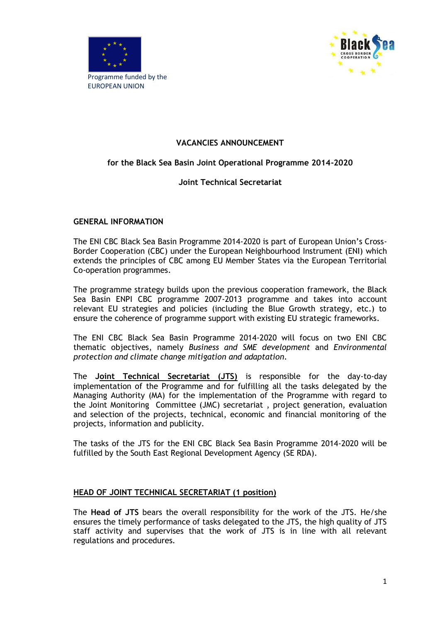



## **VACANCIES ANNOUNCEMENT**

## **for the Black Sea Basin Joint Operational Programme 2014-2020**

### **Joint Technical Secretariat**

#### **GENERAL INFORMATION**

The ENI CBC Black Sea Basin Programme 2014-2020 is part of European Union's Cross-Border Cooperation (CBC) under the European Neighbourhood Instrument (ENI) which extends the principles of CBC among EU Member States via the European Territorial Co-operation programmes.

The programme strategy builds upon the previous cooperation framework, the Black Sea Basin ENPI CBC programme 2007-2013 programme and takes into account relevant EU strategies and policies (including the Blue Growth strategy, etc.) to ensure the coherence of programme support with existing EU strategic frameworks.

The ENI CBC Black Sea Basin Programme 2014-2020 will focus on two ENI CBC thematic objectives, namely *Business and SME development* and *Environmental protection and climate change mitigation and adaptation.*

The **Joint Technical Secretariat (JTS)** is responsible for the day-to-day implementation of the Programme and for fulfilling all the tasks delegated by the Managing Authority (MA) for the implementation of the Programme with regard to the Joint Monitoring Committee (JMC) secretariat , project generation, evaluation and selection of the projects, technical, economic and financial monitoring of the projects, information and publicity.

The tasks of the JTS for the ENI CBC Black Sea Basin Programme 2014-2020 will be fulfilled by the South East Regional Development Agency (SE RDA).

#### **HEAD OF JOINT TECHNICAL SECRETARIAT (1 position)**

The **Head of JTS** bears the overall responsibility for the work of the JTS. He/she ensures the timely performance of tasks delegated to the JTS, the high quality of JTS staff activity and supervises that the work of JTS is in line with all relevant regulations and procedures.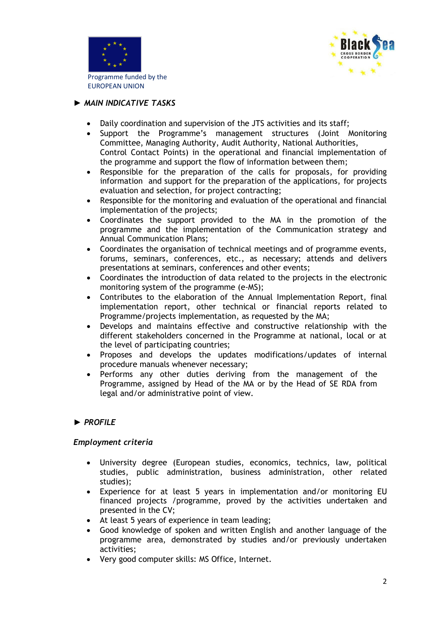



## *► MAIN INDICATIVE TASKS*

- Daily coordination and supervision of the JTS activities and its staff;
- Support the Programme's management structures (Joint Monitoring Committee, Managing Authority, Audit Authority, National Authorities, Control Contact Points) in the operational and financial implementation of the programme and support the flow of information between them;
- Responsible for the preparation of the calls for proposals, for providing information and support for the preparation of the applications, for projects evaluation and selection, for project contracting;
- Responsible for the monitoring and evaluation of the operational and financial implementation of the projects;
- Coordinates the support provided to the MA in the promotion of the programme and the implementation of the Communication strategy and Annual Communication Plans;
- Coordinates the organisation of technical meetings and of programme events, forums, seminars, conferences, etc., as necessary; attends and delivers presentations at seminars, conferences and other events;
- Coordinates the introduction of data related to the projects in the electronic monitoring system of the programme (e-MS);
- Contributes to the elaboration of the Annual Implementation Report, final implementation report, other technical or financial reports related to Programme/projects implementation, as requested by the MA;
- Develops and maintains effective and constructive relationship with the different stakeholders concerned in the Programme at national, local or at the level of participating countries;
- Proposes and develops the updates modifications/updates of internal procedure manuals whenever necessary;
- Performs any other duties deriving from the management of the Programme, assigned by Head of the MA or by the Head of SE RDA from legal and/or administrative point of view.

## *► PROFILE*

#### *Employment criteria*

- University degree (European studies, economics, technics, law, political studies, public administration, business administration, other related studies);
- Experience for at least 5 years in implementation and/or monitoring EU financed projects /programme, proved by the activities undertaken and presented in the CV;
- At least 5 years of experience in team leading;
- Good knowledge of spoken and written English and another language of the programme area, demonstrated by studies and/or previously undertaken activities;
- Very good computer skills: MS Office, Internet.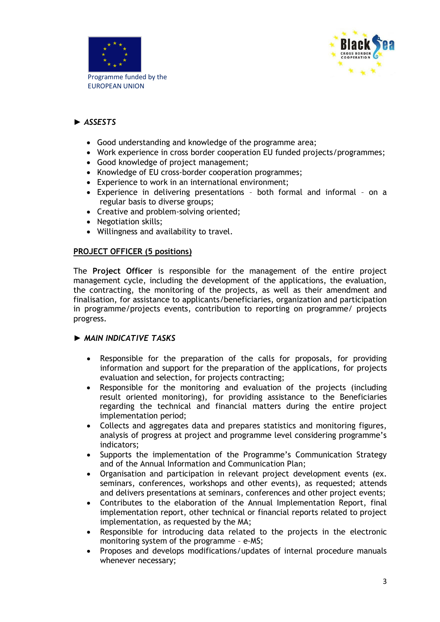



# *► ASSESTS*

- Good understanding and knowledge of the programme area;
- Work experience in cross border cooperation EU funded projects/programmes;
- Good knowledge of project management:
- Knowledge of EU cross-border cooperation programmes:
- Experience to work in an international environment;
- Experience in delivering presentations both formal and informal on a regular basis to diverse groups;
- Creative and problem-solving oriented;
- Negotiation skills:
- Willingness and availability to travel.

### **PROJECT OFFICER (5 positions)**

The **Project Officer** is responsible for the management of the entire project management cycle, including the development of the applications, the evaluation, the contracting, the monitoring of the projects, as well as their amendment and finalisation, for assistance to applicants/beneficiaries, organization and participation in programme/projects events, contribution to reporting on programme/ projects progress*.*

#### *► MAIN INDICATIVE TASKS*

- Responsible for the preparation of the calls for proposals, for providing information and support for the preparation of the applications, for projects evaluation and selection, for projects contracting;
- Responsible for the monitoring and evaluation of the projects (including result oriented monitoring), for providing assistance to the Beneficiaries regarding the technical and financial matters during the entire project implementation period;
- Collects and aggregates data and prepares statistics and monitoring figures, analysis of progress at project and programme level considering programme's indicators;
- Supports the implementation of the Programme's Communication Strategy and of the Annual Information and Communication Plan;
- Organisation and participation in relevant project development events (ex. seminars, conferences, workshops and other events), as requested; attends and delivers presentations at seminars, conferences and other project events;
- Contributes to the elaboration of the Annual Implementation Report, final implementation report, other technical or financial reports related to project implementation, as requested by the MA;
- Responsible for introducing data related to the projects in the electronic monitoring system of the programme – e-MS;
- Proposes and develops modifications/updates of internal procedure manuals whenever necessary;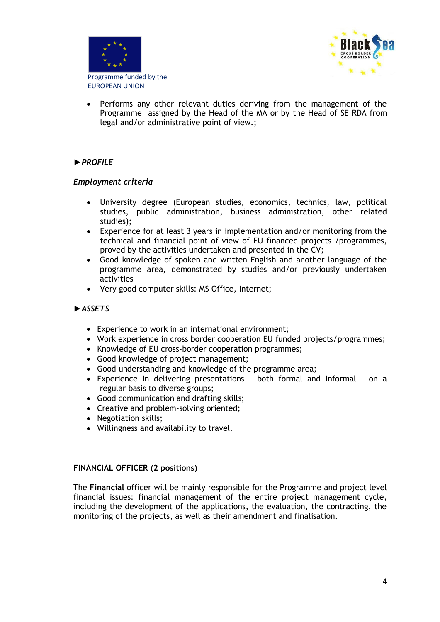



 Performs any other relevant duties deriving from the management of the Programme assigned by the Head of the MA or by the Head of SE RDA from legal and/or administrative point of view.;

## *►PROFILE*

### *Employment criteria*

- University degree (European studies, economics, technics, law, political studies, public administration, business administration, other related studies);
- Experience for at least 3 years in implementation and/or monitoring from the technical and financial point of view of EU financed projects /programmes, proved by the activities undertaken and presented in the CV;
- Good knowledge of spoken and written English and another language of the programme area, demonstrated by studies and/or previously undertaken activities
- Very good computer skills: MS Office, Internet;

### *►ASSETS*

- Experience to work in an international environment;
- Work experience in cross border cooperation EU funded projects/programmes;
- Knowledge of EU cross-border cooperation programmes;
- Good knowledge of project management;
- Good understanding and knowledge of the programme area;
- Experience in delivering presentations both formal and informal on a regular basis to diverse groups;
- Good communication and drafting skills;
- Creative and problem-solving oriented:
- Negotiation skills;
- Willingness and availability to travel.

#### **FINANCIAL OFFICER (2 positions)**

The **Financial** officer will be mainly responsible for the Programme and project level financial issues: financial management of the entire project management cycle, including the development of the applications, the evaluation, the contracting, the monitoring of the projects, as well as their amendment and finalisation.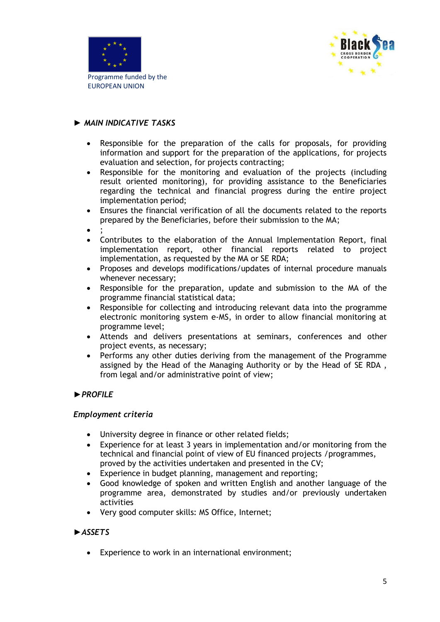



## *► MAIN INDICATIVE TASKS*

- Responsible for the preparation of the calls for proposals, for providing information and support for the preparation of the applications, for projects evaluation and selection, for projects contracting;
- Responsible for the monitoring and evaluation of the projects (including result oriented monitoring), for providing assistance to the Beneficiaries regarding the technical and financial progress during the entire project implementation period;
- Ensures the financial verification of all the documents related to the reports prepared by the Beneficiaries, before their submission to the MA;
- $\bullet$ ;
- Contributes to the elaboration of the Annual Implementation Report, final implementation report, other financial reports related to project implementation, as requested by the MA or SE RDA;
- Proposes and develops modifications/updates of internal procedure manuals whenever necessary;
- Responsible for the preparation, update and submission to the MA of the programme financial statistical data;
- Responsible for collecting and introducing relevant data into the programme electronic monitoring system e-MS, in order to allow financial monitoring at programme level;
- Attends and delivers presentations at seminars, conferences and other project events, as necessary;
- Performs any other duties deriving from the management of the Programme assigned by the Head of the Managing Authority or by the Head of SE RDA , from legal and/or administrative point of view;

## *►PROFILE*

#### *Employment criteria*

- University degree in finance or other related fields;
- Experience for at least 3 years in implementation and/or monitoring from the technical and financial point of view of EU financed projects /programmes, proved by the activities undertaken and presented in the CV;
- Experience in budget planning, management and reporting;
- Good knowledge of spoken and written English and another language of the programme area, demonstrated by studies and/or previously undertaken activities
- Very good computer skills: MS Office, Internet;

## *►ASSETS*

Experience to work in an international environment;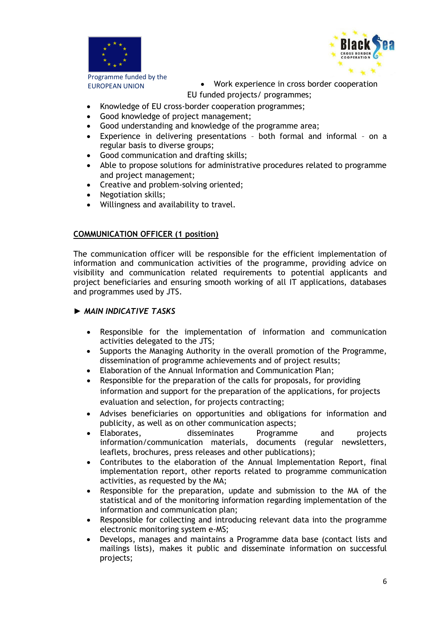



Programme funded by the

EUROPEAN UNION **CONCERT COOPER 19 SET AND THE VIOLET COOPERATION** EU funded projects/ programmes;

- Knowledge of EU cross-border cooperation programmes;
- Good knowledge of project management;
- Good understanding and knowledge of the programme area;
- Experience in delivering presentations both formal and informal on a regular basis to diverse groups;
- Good communication and drafting skills;
- Able to propose solutions for administrative procedures related to programme and project management;
- Creative and problem-solving oriented;
- Negotiation skills;
- Willingness and availability to travel.

#### **COMMUNICATION OFFICER (1 position)**

The communication officer will be responsible for the efficient implementation of information and communication activities of the programme, providing advice on visibility and communication related requirements to potential applicants and project beneficiaries and ensuring smooth working of all IT applications, databases and programmes used by JTS.

### *► MAIN INDICATIVE TASKS*

- Responsible for the implementation of information and communication activities delegated to the JTS;
- Supports the Managing Authority in the overall promotion of the Programme, dissemination of programme achievements and of project results;
- Elaboration of the Annual Information and Communication Plan;
- Responsible for the preparation of the calls for proposals, for providing information and support for the preparation of the applications, for projects evaluation and selection, for projects contracting;
- Advises beneficiaries on opportunities and obligations for information and publicity, as well as on other communication aspects;
- Elaborates, disseminates Programme and projects information/communication materials, documents (regular newsletters, leaflets, brochures, press releases and other publications);
- Contributes to the elaboration of the Annual Implementation Report, final implementation report, other reports related to programme communication activities, as requested by the MA;
- Responsible for the preparation, update and submission to the MA of the statistical and of the monitoring information regarding implementation of the information and communication plan;
- Responsible for collecting and introducing relevant data into the programme electronic monitoring system e-MS;
- Develops, manages and maintains a Programme data base (contact lists and mailings lists), makes it public and disseminate information on successful projects;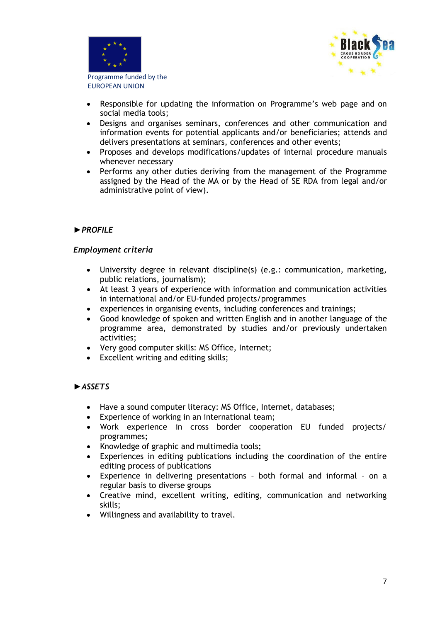



- Responsible for updating the information on Programme's web page and on social media tools;
- Designs and organises seminars, conferences and other communication and information events for potential applicants and/or beneficiaries; attends and delivers presentations at seminars, conferences and other events;
- Proposes and develops modifications/updates of internal procedure manuals whenever necessary
- Performs any other duties deriving from the management of the Programme assigned by the Head of the MA or by the Head of SE RDA from legal and/or administrative point of view).

### *►PROFILE*

#### *Employment criteria*

- University degree in relevant discipline(s) (e.g.: communication, marketing, public relations, journalism);
- At least 3 years of experience with information and communication activities in international and/or EU-funded projects/programmes
- experiences in organising events, including conferences and trainings;
- Good knowledge of spoken and written English and in another language of the programme area, demonstrated by studies and/or previously undertaken activities;
- Very good computer skills: MS Office, Internet;
- Excellent writing and editing skills;

#### *►ASSETS*

- Have a sound computer literacy: MS Office, Internet, databases;
- Experience of working in an international team;
- Work experience in cross border cooperation EU funded projects/ programmes;
- Knowledge of graphic and multimedia tools;
- Experiences in editing publications including the coordination of the entire editing process of publications
- Experience in delivering presentations both formal and informal on a regular basis to diverse groups
- Creative mind, excellent writing, editing, communication and networking skills;
- Willingness and availability to travel.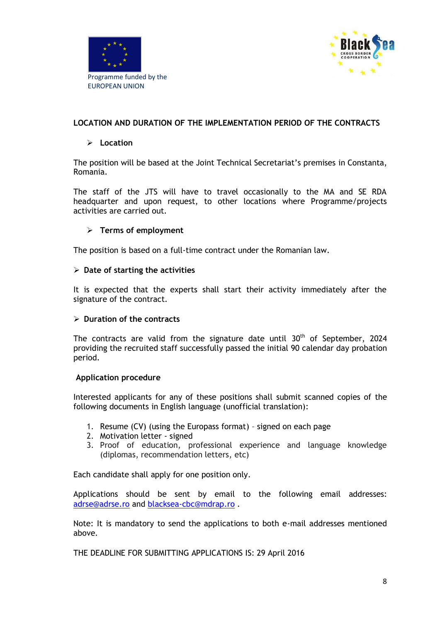



## **LOCATION AND DURATION OF THE IMPLEMENTATION PERIOD OF THE CONTRACTS**

#### **Location**

The position will be based at the Joint Technical Secretariat's premises in Constanta, Romania.

The staff of the JTS will have to travel occasionally to the MA and SE RDA headquarter and upon request, to other locations where Programme/projects activities are carried out.

### **Terms of employment**

The position is based on a full-time contract under the Romanian law.

#### **Date of starting the activities**

It is expected that the experts shall start their activity immediately after the signature of the contract.

#### **Duration of the contracts**

The contracts are valid from the signature date until  $30<sup>th</sup>$  of September, 2024 providing the recruited staff successfully passed the initial 90 calendar day probation period.

#### **Application procedure**

Interested applicants for any of these positions shall submit scanned copies of the following documents in English language (unofficial translation):

- 1. Resume (CV) (using the Europass format) signed on each page
- 2. Motivation letter signed
- 3. Proof of education, professional experience and language knowledge (diplomas, recommendation letters, etc)

Each candidate shall apply for one position only.

Applications should be sent by email to the following email addresses: [adrse@adrse.ro](mailto:adrse@adrse.ro) and [blacksea-cbc@mdrap.ro](mailto:blacksea-cbc@mdrap.ro) .

Note: It is mandatory to send the applications to both e-mail addresses mentioned above.

THE DEADLINE FOR SUBMITTING APPLICATIONS IS: 29 April 2016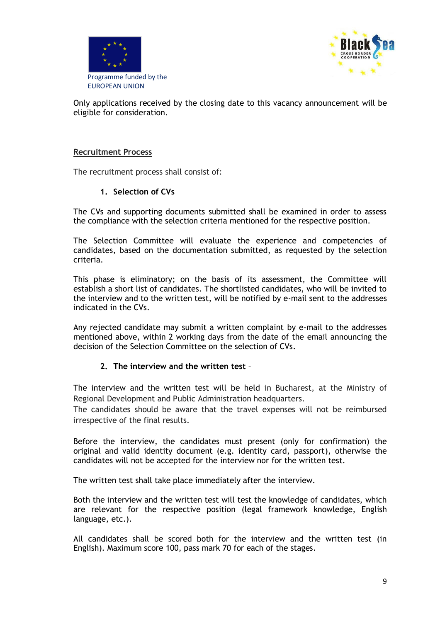



Only applications received by the closing date to this vacancy announcement will be eligible for consideration.

#### **Recruitment Process**

The recruitment process shall consist of:

#### **1. Selection of CVs**

The CVs and supporting documents submitted shall be examined in order to assess the compliance with the selection criteria mentioned for the respective position.

The Selection Committee will evaluate the experience and competencies of candidates, based on the documentation submitted, as requested by the selection criteria.

This phase is eliminatory; on the basis of its assessment, the Committee will establish a short list of candidates. The shortlisted candidates, who will be invited to the interview and to the written test, will be notified by e-mail sent to the addresses indicated in the CVs.

Any rejected candidate may submit a written complaint by e-mail to the addresses mentioned above, within 2 working days from the date of the email announcing the decision of the Selection Committee on the selection of CVs.

#### **2. The interview and the written test** –

The interview and the written test will be held in Bucharest, at the Ministry of Regional Development and Public Administration headquarters.

The candidates should be aware that the travel expenses will not be reimbursed irrespective of the final results.

Before the interview, the candidates must present (only for confirmation) the original and valid identity document (e.g. identity card, passport), otherwise the candidates will not be accepted for the interview nor for the written test.

The written test shall take place immediately after the interview.

Both the interview and the written test will test the knowledge of candidates, which are relevant for the respective position (legal framework knowledge, English language, etc.).

All candidates shall be scored both for the interview and the written test (in English). Maximum score 100, pass mark 70 for each of the stages.